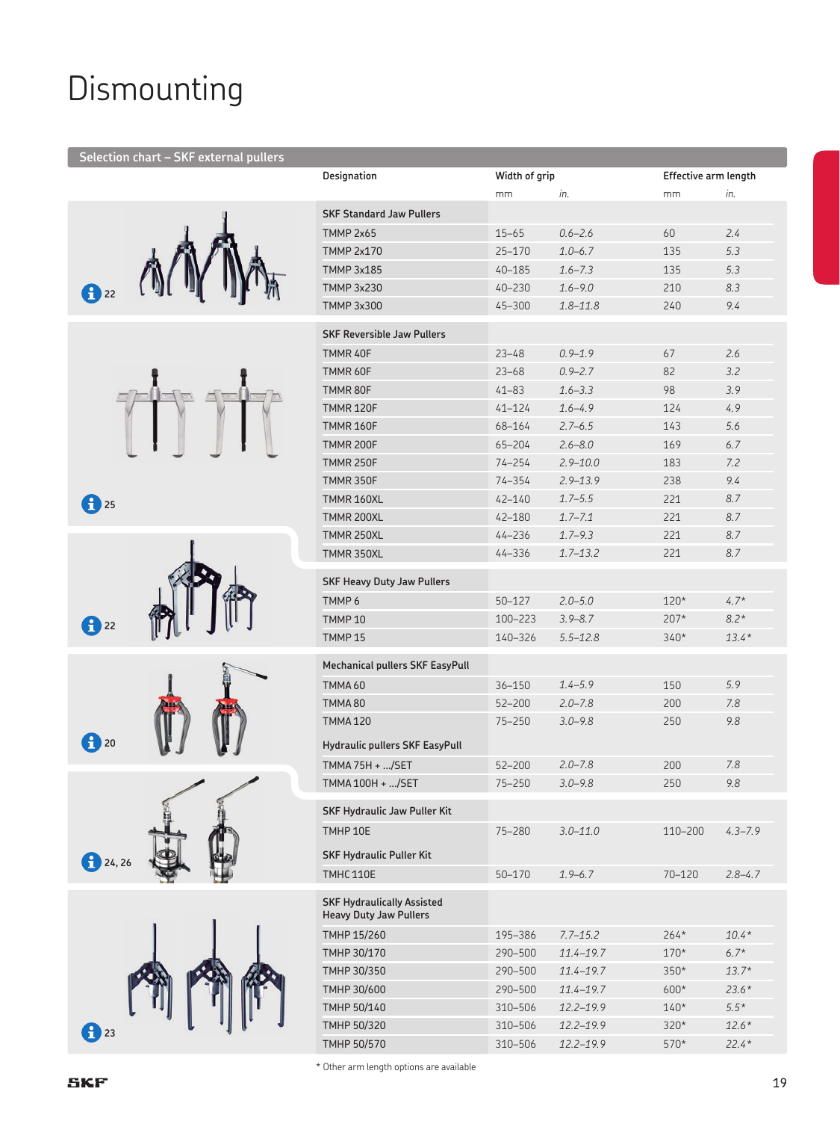## Dismounting

#### **Selection chart – SKF external pullers**















| Designation                                                        | Width of grip |               | Effective arm length |             |
|--------------------------------------------------------------------|---------------|---------------|----------------------|-------------|
|                                                                    | mm            | in.           | mm                   | in.         |
| <b>SKF Standard Jaw Pullers</b>                                    |               |               |                      |             |
| <b>TMMP 2x65</b>                                                   | $15 - 65$     | $0.6 - 2.6$   | 60                   | 2.4         |
| <b>TMMP 2x170</b>                                                  | $25 - 170$    | $1.0 - 6.7$   | 135                  | 5.3         |
| TMMP 3x185                                                         | 40-185        | $1.6 - 7.3$   | 135                  | 5.3         |
| TMMP 3x230                                                         | 40-230        | $1.6 - 9.0$   | 210                  | 8.3         |
| TMMP 3x300                                                         | 45-300        | $1.8 - 11.8$  | 240                  | 9.4         |
| <b>SKF Reversible Jaw Pullers</b>                                  |               |               |                      |             |
| TMMR 40F                                                           | $23 - 48$     | $0.9 - 1.9$   | 67                   | 2.6         |
| TMMR 60F                                                           | $23 - 68$     | $0.9 - 2.7$   | 82                   | 3.2         |
| TMMR 80F                                                           | $41 - 83$     | $1.6 - 3.3$   | 98                   | 3.9         |
| <b>TMMR 120F</b>                                                   | $41 - 124$    | $1.6 - 4.9$   | 124                  | 4.9         |
| <b>TMMR 160F</b>                                                   | 68-164        | $2.7 - 6.5$   | 143                  | 5.6         |
| <b>TMMR 200F</b>                                                   | 65-204        | $2.6 - 8.0$   | 169                  | 6.7         |
| <b>TMMR 250F</b>                                                   | $74 - 254$    | $2.9 - 10.0$  | 183                  | 7.2         |
| <b>TMMR 350F</b>                                                   | 74-354        | $2.9 - 13.9$  | 238                  | 9.4         |
| TMMR 160XL                                                         | 42-140        | $1.7 - 5.5$   | 221                  | 8.7         |
| TMMR 200XL                                                         | 42-180        | $1.7 - 7.1$   | 221                  | 8.7         |
| TMMR 250XL                                                         | $44 - 236$    | $1.7 - 9.3$   | 221                  | 8.7         |
| TMMR 350XL                                                         | 44-336        | $1.7 - 13.2$  | 221                  | 8.7         |
| <b>SKF Heavy Duty Jaw Pullers</b>                                  |               |               |                      |             |
| TMMP <sub>6</sub>                                                  | $50 - 127$    | $2.0 - 5.0$   | $120*$               | $4.7*$      |
| <b>TMMP10</b>                                                      | 100-223       | $3.9 - 8.7$   | $207*$               | $8.2*$      |
| <b>TMMP15</b>                                                      | 140-326       | $5.5 - 12.8$  | $340*$               | $13.4*$     |
| Mechanical pullers SKF EasyPull                                    |               |               |                      |             |
| TMMA <sub>60</sub>                                                 |               | $1.4 - 5.9$   | 150                  | 5.9         |
|                                                                    | $36 - 150$    |               |                      |             |
| TMMA80                                                             | 52-200        | $2.0 - 7.8$   | 200                  | 7.8         |
| <b>TMMA120</b>                                                     | 75-250        | $3.0 - 9.8$   | 250                  | 9.8         |
| Hydraulic pullers SKF EasyPull                                     |               |               |                      |             |
| TMMA 75H + /SET                                                    | 52-200        | $2.0 - 7.8$   | 200                  | 7.8         |
| TMMA 100H + /SET                                                   | 75-250        | $3.0 - 9.8$   | 250                  | 9.8         |
| <b>SKF Hydraulic Jaw Puller Kit</b>                                |               |               |                      |             |
| TMHP 10E                                                           | 75-280        | $3.0 - 11.0$  | 110-200              | $4.3 - 7.9$ |
| <b>SKF Hydraulic Puller Kit</b>                                    |               |               |                      |             |
| <b>TMHC 110E</b>                                                   | 50-170        | $1.9 - 6.7$   | 70-120               | $2.8 - 4.7$ |
| <b>SKF Hydraulically Assisted</b><br><b>Heavy Duty Jaw Pullers</b> |               |               |                      |             |
| TMHP 15/260                                                        | 195-386       | $7.7 - 15.2$  | $264*$               | $10.4*$     |
| TMHP 30/170                                                        | 290-500       | 11.4-19.7     | $170*$               | $6.7*$      |
| TMHP 30/350                                                        | 290-500       | $11.4 - 19.7$ | $350*$               | $13.7*$     |
| TMHP 30/600                                                        | 290-500       | $11.4 - 19.7$ | $600*$               | $23.6*$     |
| TMHP 50/140                                                        | 310-506       | $12.2 - 19.9$ | $140*$               | $5.5*$      |
| TMHP 50/320                                                        | 310-506       | 12.2-19.9     | 320*                 | $12.6*$     |
| TMHP 50/570                                                        | 310-506       | 12.2-19.9     | 570*                 | $22.4*$     |
| <sup>t</sup> Other arm length ontions are available                |               |               |                      |             |

are available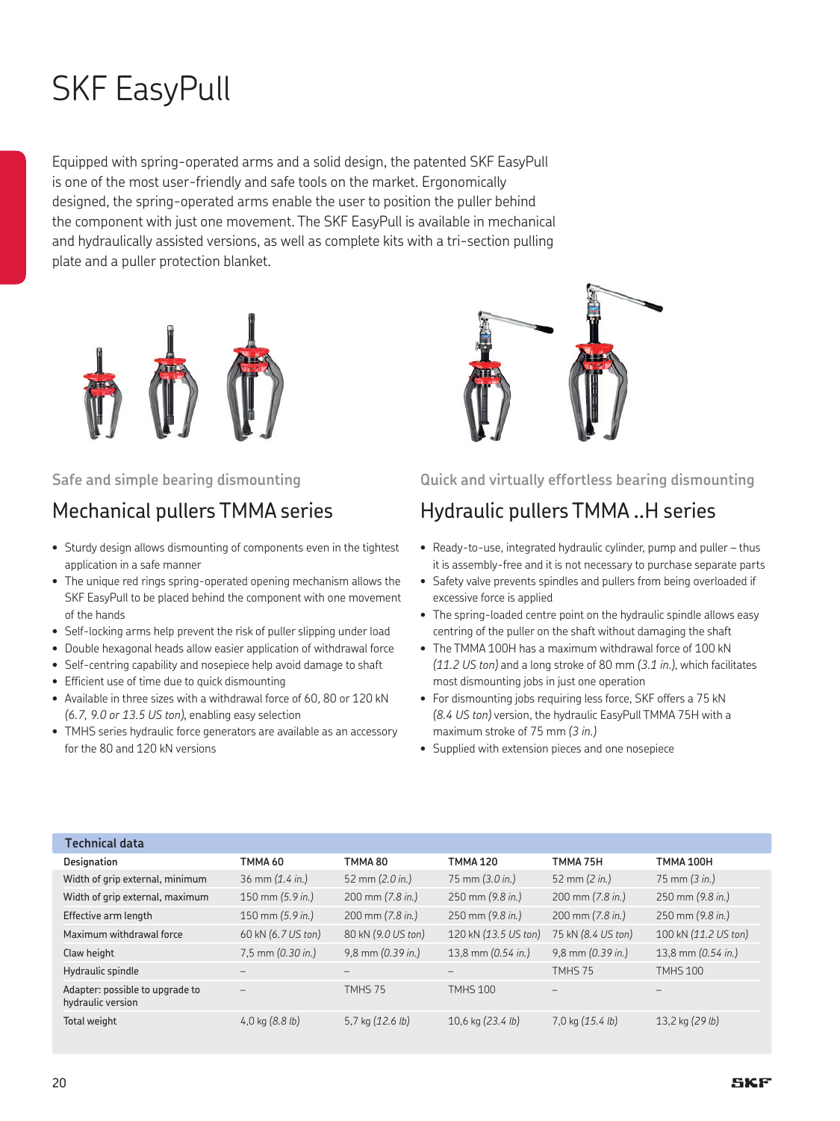# SKF EasyPull

Equipped with spring-operated arms and a solid design, the patented SKF EasyPull is one of the most user-friendly and safe tools on the market. Ergonomically designed, the spring-operated arms enable the user to position the puller behind the component with just one movement. The SKF EasyPull is available in mechanical and hydraulically assisted versions, as well as complete kits with a tri-section pulling plate and a puller protection blanket.



#### **Safe and simple bearing dismounting**

### Mechanical pullers TMMA series

- Sturdy design allows dismounting of components even in the tightest application in a safe manner
- The unique red rings spring-operated opening mechanism allows the SKF EasyPull to be placed behind the component with one movement of the hands
- Self-locking arms help prevent the risk of puller slipping under load
- Double hexagonal heads allow easier application of withdrawal force
- Self-centring capability and nosepiece help avoid damage to shaft
- Efficient use of time due to quick dismounting
- Available in three sizes with a withdrawal force of 60, 80 or 120 kN *(6.7, 9.0 or 13.5 US ton)*, enabling easy selection
- TMHS series hydraulic force generators are available as an accessory for the 80 and 120 kN versions



#### **Quick and virtually effortless bearing dismounting**

## Hydraulic pullers TMMA ..H series

- Ready-to-use, integrated hydraulic cylinder, pump and puller thus it is assembly-free and it is not necessary to purchase separate parts
- Safety valve prevents spindles and pullers from being overloaded if excessive force is applied
- The spring-loaded centre point on the hydraulic spindle allows easy centring of the puller on the shaft without damaging the shaft
- The TMMA 100H has a maximum withdrawal force of 100 kN *(11.2 US ton)* and a long stroke of 80 mm *(3.1 in.)*, which facilitates most dismounting jobs in just one operation
- For dismounting jobs requiring less force, SKF offers a 75 kN *(8.4 US ton)* version, the hydraulic EasyPull TMMA 75H with a maximum stroke of 75 mm *(3 in.)*
- Supplied with extension pieces and one nosepiece

| Technical data                                       |                             |                                    |                           |                                    |                              |
|------------------------------------------------------|-----------------------------|------------------------------------|---------------------------|------------------------------------|------------------------------|
| Designation                                          | TMMA 60                     | TMMA 80                            | <b>TMMA 120</b>           | TMMA 75H                           | <b>TMMA 100H</b>             |
| Width of grip external, minimum                      | $36$ mm $(1.4 \text{ in.})$ | 52 mm $(2.0 in.)$                  | 75 mm $(3.0 \text{ in.})$ | 52 mm (2 in.)                      | $75 \, \text{mm}$ (3 in.)    |
| Width of grip external, maximum                      | 150 mm (5.9 in.)            | $200 \text{ mm} (7.8 \text{ in.})$ | 250 mm (9.8 in.)          | 200 mm (7.8 in.)                   | $250 \text{ mm}$ (9.8 in.)   |
| Effective arm length                                 | 150 mm (5.9 in.)            | $200 \text{ mm} (7.8 \text{ in.})$ | 250 mm (9.8 in.)          | $200 \text{ mm} (7.8 \text{ in.})$ | 250 mm (9.8 in.)             |
| Maximum withdrawal force                             | 60 kN (6.7 US ton)          | 80 kN (9.0 US ton)                 | 120 kN (13.5 US ton)      | 75 kN (8.4 US ton)                 | 100 kN (11.2 US ton)         |
| Claw height                                          | 7,5 mm (0.30 in.)           | $9,8$ mm $(0.39$ in.)              | 13,8 mm (0.54 in.)        | $9,8$ mm $(0.39$ in.)              | 13,8 mm $(0.54 \text{ in.})$ |
| Hydraulic spindle                                    |                             |                                    |                           | TMHS 75                            | <b>TMHS 100</b>              |
| Adapter: possible to upgrade to<br>hydraulic version |                             | TMHS 75                            | <b>TMHS 100</b>           |                                    |                              |
| Total weight                                         | 4,0 kg $(8.8 lb)$           | 5,7 kg $(12.6 lb)$                 | 10,6 kg (23.4 lb)         | 7,0 kg $(15.4 \text{ lb})$         | 13,2 kg $(29 lb)$            |